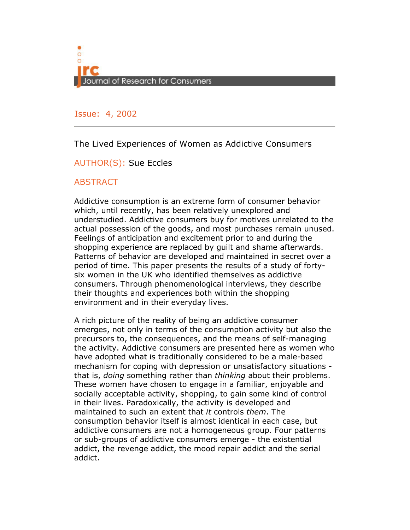

Issue: 4, 2002

The Lived Experiences of Women as Addictive Consumers

AUTHOR(S): Sue Eccles

# **ABSTRACT**

Addictive consumption is an extreme form of consumer behavior which, until recently, has been relatively unexplored and understudied. Addictive consumers buy for motives unrelated to the actual possession of the goods, and most purchases remain unused. Feelings of anticipation and excitement prior to and during the shopping experience are replaced by guilt and shame afterwards. Patterns of behavior are developed and maintained in secret over a period of time. This paper presents the results of a study of fortysix women in the UK who identified themselves as addictive consumers. Through phenomenological interviews, they describe their thoughts and experiences both within the shopping environment and in their everyday lives.

A rich picture of the reality of being an addictive consumer emerges, not only in terms of the consumption activity but also the precursors to, the consequences, and the means of self-managing the activity. Addictive consumers are presented here as women who have adopted what is traditionally considered to be a male-based mechanism for coping with depression or unsatisfactory situations that is, doing something rather than thinking about their problems. These women have chosen to engage in a familiar, enjoyable and socially acceptable activity, shopping, to gain some kind of control in their lives. Paradoxically, the activity is developed and maintained to such an extent that it controls them. The consumption behavior itself is almost identical in each case, but addictive consumers are not a homogeneous group. Four patterns or sub-groups of addictive consumers emerge - the existential addict, the revenge addict, the mood repair addict and the serial addict.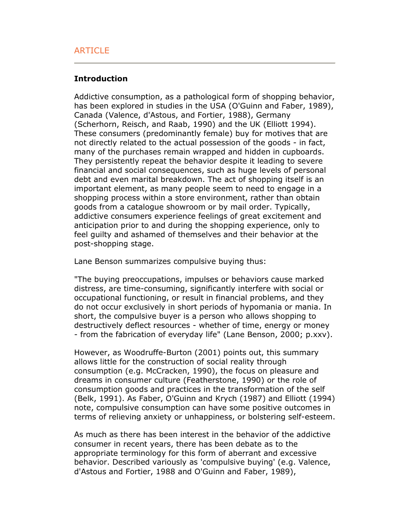### **Introduction**

Addictive consumption, as a pathological form of shopping behavior, has been explored in studies in the USA (O'Guinn and Faber, 1989), Canada (Valence, d'Astous, and Fortier, 1988), Germany (Scherhorn, Reisch, and Raab, 1990) and the UK (Elliott 1994). These consumers (predominantly female) buy for motives that are not directly related to the actual possession of the goods - in fact, many of the purchases remain wrapped and hidden in cupboards. They persistently repeat the behavior despite it leading to severe financial and social consequences, such as huge levels of personal debt and even marital breakdown. The act of shopping itself is an important element, as many people seem to need to engage in a shopping process within a store environment, rather than obtain goods from a catalogue showroom or by mail order. Typically, addictive consumers experience feelings of great excitement and anticipation prior to and during the shopping experience, only to feel guilty and ashamed of themselves and their behavior at the post-shopping stage.

Lane Benson summarizes compulsive buying thus:

"The buying preoccupations, impulses or behaviors cause marked distress, are time-consuming, significantly interfere with social or occupational functioning, or result in financial problems, and they do not occur exclusively in short periods of hypomania or mania. In short, the compulsive buyer is a person who allows shopping to destructively deflect resources - whether of time, energy or money - from the fabrication of everyday life" (Lane Benson, 2000; p.xxv).

However, as Woodruffe-Burton (2001) points out, this summary allows little for the construction of social reality through consumption (e.g. McCracken, 1990), the focus on pleasure and dreams in consumer culture (Featherstone, 1990) or the role of consumption goods and practices in the transformation of the self (Belk, 1991). As Faber, O'Guinn and Krych (1987) and Elliott (1994) note, compulsive consumption can have some positive outcomes in terms of relieving anxiety or unhappiness, or bolstering self-esteem.

As much as there has been interest in the behavior of the addictive consumer in recent years, there has been debate as to the appropriate terminology for this form of aberrant and excessive behavior. Described variously as 'compulsive buying' (e.g. Valence, d'Astous and Fortier, 1988 and O'Guinn and Faber, 1989),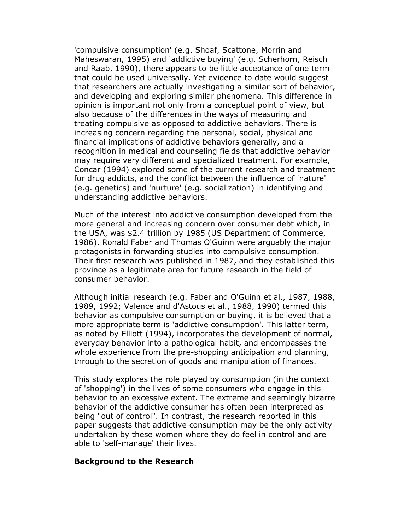'compulsive consumption' (e.g. Shoaf, Scattone, Morrin and Maheswaran, 1995) and 'addictive buying' (e.g. Scherhorn, Reisch and Raab, 1990), there appears to be little acceptance of one term that could be used universally. Yet evidence to date would suggest that researchers are actually investigating a similar sort of behavior, and developing and exploring similar phenomena. This difference in opinion is important not only from a conceptual point of view, but also because of the differences in the ways of measuring and treating compulsive as opposed to addictive behaviors. There is increasing concern regarding the personal, social, physical and financial implications of addictive behaviors generally, and a recognition in medical and counseling fields that addictive behavior may require very different and specialized treatment. For example, Concar (1994) explored some of the current research and treatment for drug addicts, and the conflict between the influence of 'nature' (e.g. genetics) and 'nurture' (e.g. socialization) in identifying and understanding addictive behaviors.

Much of the interest into addictive consumption developed from the more general and increasing concern over consumer debt which, in the USA, was \$2.4 trillion by 1985 (US Department of Commerce, 1986). Ronald Faber and Thomas O'Guinn were arguably the major protagonists in forwarding studies into compulsive consumption. Their first research was published in 1987, and they established this province as a legitimate area for future research in the field of consumer behavior.

Although initial research (e.g. Faber and O'Guinn et al., 1987, 1988, 1989, 1992; Valence and d'Astous et al., 1988, 1990) termed this behavior as compulsive consumption or buying, it is believed that a more appropriate term is 'addictive consumption'. This latter term, as noted by Elliott (1994), incorporates the development of normal, everyday behavior into a pathological habit, and encompasses the whole experience from the pre-shopping anticipation and planning, through to the secretion of goods and manipulation of finances.

This study explores the role played by consumption (in the context of 'shopping') in the lives of some consumers who engage in this behavior to an excessive extent. The extreme and seemingly bizarre behavior of the addictive consumer has often been interpreted as being "out of control". In contrast, the research reported in this paper suggests that addictive consumption may be the only activity undertaken by these women where they do feel in control and are able to 'self-manage' their lives.

#### Background to the Research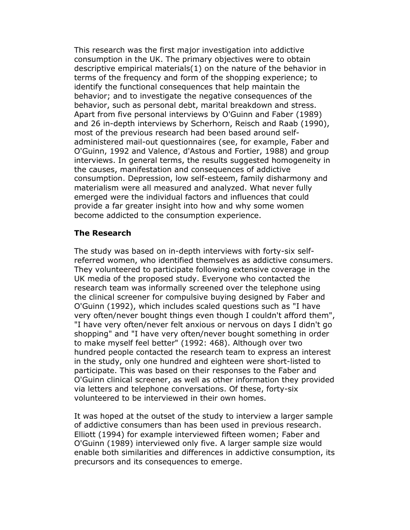This research was the first major investigation into addictive consumption in the UK. The primary objectives were to obtain descriptive empirical materials(1) on the nature of the behavior in terms of the frequency and form of the shopping experience; to identify the functional consequences that help maintain the behavior; and to investigate the negative consequences of the behavior, such as personal debt, marital breakdown and stress. Apart from five personal interviews by O'Guinn and Faber (1989) and 26 in-depth interviews by Scherhorn, Reisch and Raab (1990), most of the previous research had been based around selfadministered mail-out questionnaires (see, for example, Faber and O'Guinn, 1992 and Valence, d'Astous and Fortier, 1988) and group interviews. In general terms, the results suggested homogeneity in the causes, manifestation and consequences of addictive consumption. Depression, low self-esteem, family disharmony and materialism were all measured and analyzed. What never fully emerged were the individual factors and influences that could provide a far greater insight into how and why some women become addicted to the consumption experience.

## The Research

The study was based on in-depth interviews with forty-six selfreferred women, who identified themselves as addictive consumers. They volunteered to participate following extensive coverage in the UK media of the proposed study. Everyone who contacted the research team was informally screened over the telephone using the clinical screener for compulsive buying designed by Faber and O'Guinn (1992), which includes scaled questions such as "I have very often/never bought things even though I couldn't afford them", "I have very often/never felt anxious or nervous on days I didn't go shopping" and "I have very often/never bought something in order to make myself feel better" (1992: 468). Although over two hundred people contacted the research team to express an interest in the study, only one hundred and eighteen were short-listed to participate. This was based on their responses to the Faber and O'Guinn clinical screener, as well as other information they provided via letters and telephone conversations. Of these, forty-six volunteered to be interviewed in their own homes.

It was hoped at the outset of the study to interview a larger sample of addictive consumers than has been used in previous research. Elliott (1994) for example interviewed fifteen women; Faber and O'Guinn (1989) interviewed only five. A larger sample size would enable both similarities and differences in addictive consumption, its precursors and its consequences to emerge.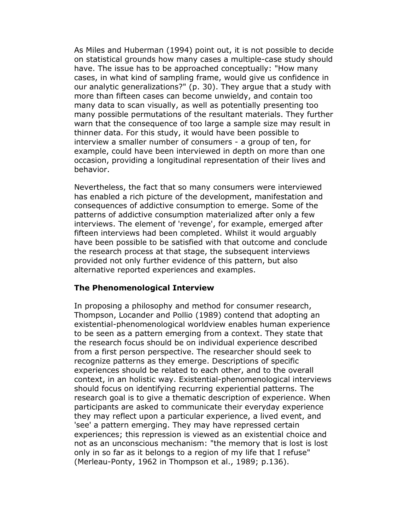As Miles and Huberman (1994) point out, it is not possible to decide on statistical grounds how many cases a multiple-case study should have. The issue has to be approached conceptually: "How many cases, in what kind of sampling frame, would give us confidence in our analytic generalizations?" (p. 30). They argue that a study with more than fifteen cases can become unwieldy, and contain too many data to scan visually, as well as potentially presenting too many possible permutations of the resultant materials. They further warn that the consequence of too large a sample size may result in thinner data. For this study, it would have been possible to interview a smaller number of consumers - a group of ten, for example, could have been interviewed in depth on more than one occasion, providing a longitudinal representation of their lives and behavior.

Nevertheless, the fact that so many consumers were interviewed has enabled a rich picture of the development, manifestation and consequences of addictive consumption to emerge. Some of the patterns of addictive consumption materialized after only a few interviews. The element of 'revenge', for example, emerged after fifteen interviews had been completed. Whilst it would arguably have been possible to be satisfied with that outcome and conclude the research process at that stage, the subsequent interviews provided not only further evidence of this pattern, but also alternative reported experiences and examples.

#### The Phenomenological Interview

In proposing a philosophy and method for consumer research, Thompson, Locander and Pollio (1989) contend that adopting an existential-phenomenological worldview enables human experience to be seen as a pattern emerging from a context. They state that the research focus should be on individual experience described from a first person perspective. The researcher should seek to recognize patterns as they emerge. Descriptions of specific experiences should be related to each other, and to the overall context, in an holistic way. Existential-phenomenological interviews should focus on identifying recurring experiential patterns. The research goal is to give a thematic description of experience. When participants are asked to communicate their everyday experience they may reflect upon a particular experience, a lived event, and 'see' a pattern emerging. They may have repressed certain experiences; this repression is viewed as an existential choice and not as an unconscious mechanism: "the memory that is lost is lost only in so far as it belongs to a region of my life that I refuse" (Merleau-Ponty, 1962 in Thompson et al., 1989; p.136).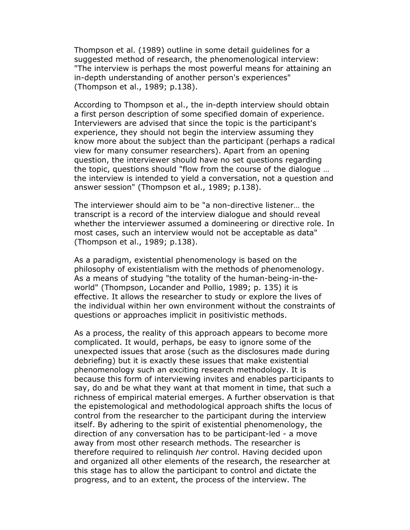Thompson et al. (1989) outline in some detail guidelines for a suggested method of research, the phenomenological interview: "The interview is perhaps the most powerful means for attaining an in-depth understanding of another person's experiences" (Thompson et al., 1989; p.138).

According to Thompson et al., the in-depth interview should obtain a first person description of some specified domain of experience. Interviewers are advised that since the topic is the participant's experience, they should not begin the interview assuming they know more about the subject than the participant (perhaps a radical view for many consumer researchers). Apart from an opening question, the interviewer should have no set questions regarding the topic, questions should "flow from the course of the dialogue … the interview is intended to yield a conversation, not a question and answer session" (Thompson et al., 1989; p.138).

The interviewer should aim to be "a non-directive listener… the transcript is a record of the interview dialogue and should reveal whether the interviewer assumed a domineering or directive role. In most cases, such an interview would not be acceptable as data" (Thompson et al., 1989; p.138).

As a paradigm, existential phenomenology is based on the philosophy of existentialism with the methods of phenomenology. As a means of studying "the totality of the human-being-in-theworld" (Thompson, Locander and Pollio, 1989; p. 135) it is effective. It allows the researcher to study or explore the lives of the individual within her own environment without the constraints of questions or approaches implicit in positivistic methods.

As a process, the reality of this approach appears to become more complicated. It would, perhaps, be easy to ignore some of the unexpected issues that arose (such as the disclosures made during debriefing) but it is exactly these issues that make existential phenomenology such an exciting research methodology. It is because this form of interviewing invites and enables participants to say, do and be what they want at that moment in time, that such a richness of empirical material emerges. A further observation is that the epistemological and methodological approach shifts the locus of control from the researcher to the participant during the interview itself. By adhering to the spirit of existential phenomenology, the direction of any conversation has to be participant-led - a move away from most other research methods. The researcher is therefore required to relinquish her control. Having decided upon and organized all other elements of the research, the researcher at this stage has to allow the participant to control and dictate the progress, and to an extent, the process of the interview. The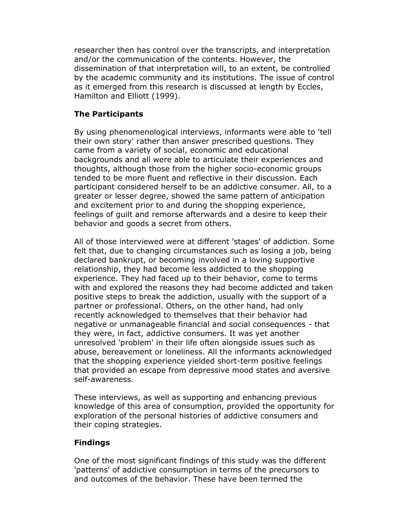researcher then has control over the transcripts, and interpretation and/or the communication of the contents. However, the dissemination of that interpretation will, to an extent, be controlled by the academic community and its institutions. The issue of control as it emerged from this research is discussed at length by Eccles, Hamilton and Elliott (1999).

#### The Participants

By using phenomenological interviews, informants were able to 'tell their own story' rather than answer prescribed questions. They came from a variety of social, economic and educational backgrounds and all were able to articulate their experiences and thoughts, although those from the higher socio-economic groups tended to be more fluent and reflective in their discussion. Each participant considered herself to be an addictive consumer. All, to a greater or lesser degree, showed the same pattern of anticipation and excitement prior to and during the shopping experience, feelings of guilt and remorse afterwards and a desire to keep their behavior and goods a secret from others.

All of those interviewed were at different 'stages' of addiction. Some felt that, due to changing circumstances such as losing a job, being declared bankrupt, or becoming involved in a loving supportive relationship, they had become less addicted to the shopping experience. They had faced up to their behavior, come to terms with and explored the reasons they had become addicted and taken positive steps to break the addiction, usually with the support of a partner or professional. Others, on the other hand, had only recently acknowledged to themselves that their behavior had negative or unmanageable financial and social consequences - that they were, in fact, addictive consumers. It was yet another unresolved 'problem' in their life often alongside issues such as abuse, bereavement or loneliness. All the informants acknowledged that the shopping experience yielded short-term positive feelings that provided an escape from depressive mood states and aversive self-awareness.

These interviews, as well as supporting and enhancing previous knowledge of this area of consumption, provided the opportunity for exploration of the personal histories of addictive consumers and their coping strategies.

#### Findings

One of the most significant findings of this study was the different 'patterns' of addictive consumption in terms of the precursors to and outcomes of the behavior. These have been termed the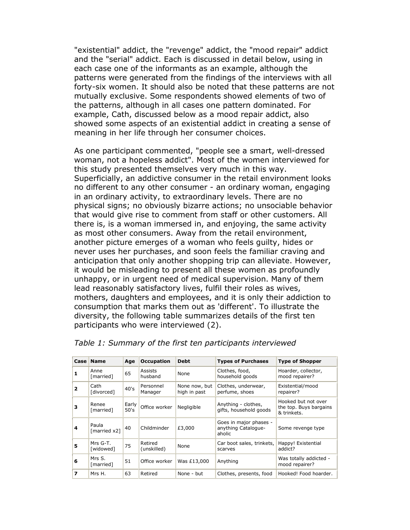"existential" addict, the "revenge" addict, the "mood repair" addict and the "serial" addict. Each is discussed in detail below, using in each case one of the informants as an example, although the patterns were generated from the findings of the interviews with all forty-six women. It should also be noted that these patterns are not mutually exclusive. Some respondents showed elements of two of the patterns, although in all cases one pattern dominated. For example, Cath, discussed below as a mood repair addict, also showed some aspects of an existential addict in creating a sense of meaning in her life through her consumer choices.

As one participant commented, "people see a smart, well-dressed woman, not a hopeless addict". Most of the women interviewed for this study presented themselves very much in this way. Superficially, an addictive consumer in the retail environment looks no different to any other consumer - an ordinary woman, engaging in an ordinary activity, to extraordinary levels. There are no physical signs; no obviously bizarre actions; no unsociable behavior that would give rise to comment from staff or other customers. All there is, is a woman immersed in, and enjoying, the same activity as most other consumers. Away from the retail environment, another picture emerges of a woman who feels guilty, hides or never uses her purchases, and soon feels the familiar craving and anticipation that only another shopping trip can alleviate. However, it would be misleading to present all these women as profoundly unhappy, or in urgent need of medical supervision. Many of them lead reasonably satisfactory lives, fulfil their roles as wives, mothers, daughters and employees, and it is only their addiction to consumption that marks them out as 'different'. To illustrate the diversity, the following table summarizes details of the first ten participants who were interviewed (2).

| Case           | <b>Name</b>           | Age           | <b>Occupation</b>      | <b>Debt</b>                   | <b>Types of Purchases</b>                               | <b>Type of Shopper</b>                                       |
|----------------|-----------------------|---------------|------------------------|-------------------------------|---------------------------------------------------------|--------------------------------------------------------------|
| 1              | Anne<br>[married]     | 65            | Assists<br>husband     | None                          | Clothes, food,<br>household goods                       | Hoarder, collector,<br>mood repairer?                        |
| $\overline{2}$ | Cath<br>[divorced]    | 40's          | Personnel<br>Manager   | None now, but<br>high in past | Clothes, underwear,<br>perfume, shoes                   | Existential/mood<br>repairer?                                |
| 3              | Renee<br>[married]    | Early<br>50's | Office worker          | Negligible                    | Anything - clothes,<br>gifts, household goods           | Hooked but not over<br>the top. Buys bargains<br>& trinkets. |
| 4              | Paula<br>[married x2] | 40            | Childminder            | £3,000                        | Goes in major phases -<br>anything Catalogue-<br>aholic | Some revenge type                                            |
| 5              | Mrs G-T.<br>[widowed] | 75            | Retired<br>(unskilled) | None                          | Car boot sales, trinkets,<br>scarves                    | Happy! Existential<br>addict?                                |
| 6              | Mrs S.<br>[married]   | 51            | Office worker          | Was £13,000                   | Anything                                                | Was totally addicted -<br>mood repairer?                     |
| 7              | Mrs H.                | 63            | Retired                | None - but                    | Clothes, presents, food                                 | Hooked! Food hoarder.                                        |

Table 1: Summary of the first ten participants interviewed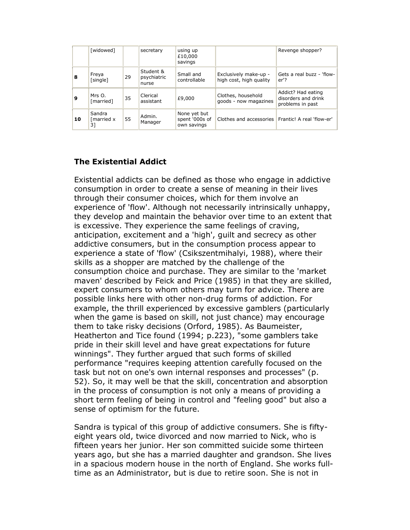|    | [widowed]                  |    | secretary                         | using up<br>£10,000<br>savings                |                                                     | Revenge shopper?                                              |
|----|----------------------------|----|-----------------------------------|-----------------------------------------------|-----------------------------------------------------|---------------------------------------------------------------|
| 8  | Freya<br>[single]          | 29 | Student &<br>psychiatric<br>nurse | Small and<br>controllable                     | Exclusively make-up -<br>high cost, high quality    | Gets a real buzz - 'flow-<br>$er'$ ?                          |
| 9  | Mrs O.<br>[married]        | 35 | Clerical<br>assistant             | £9,000                                        | Clothes, household<br>goods - now magazines         | Addict? Had eating<br>disorders and drink<br>problems in past |
| 10 | Sandra<br>[married x<br>31 | 55 | Admin.<br>Manager                 | None yet but<br>spent '000s of<br>own savings | Clothes and accessories   Frantic! A real 'flow-er' |                                                               |

# The Existential Addict

Existential addicts can be defined as those who engage in addictive consumption in order to create a sense of meaning in their lives through their consumer choices, which for them involve an experience of 'flow'. Although not necessarily intrinsically unhappy, they develop and maintain the behavior over time to an extent that is excessive. They experience the same feelings of craving, anticipation, excitement and a 'high', guilt and secrecy as other addictive consumers, but in the consumption process appear to experience a state of 'flow' (Csikszentmihalyi, 1988), where their skills as a shopper are matched by the challenge of the consumption choice and purchase. They are similar to the 'market maven' described by Feick and Price (1985) in that they are skilled, expert consumers to whom others may turn for advice. There are possible links here with other non-drug forms of addiction. For example, the thrill experienced by excessive gamblers (particularly when the game is based on skill, not just chance) may encourage them to take risky decisions (Orford, 1985). As Baumeister, Heatherton and Tice found (1994; p.223), "some gamblers take pride in their skill level and have great expectations for future winnings". They further argued that such forms of skilled performance "requires keeping attention carefully focused on the task but not on one's own internal responses and processes" (p. 52). So, it may well be that the skill, concentration and absorption in the process of consumption is not only a means of providing a short term feeling of being in control and "feeling good" but also a sense of optimism for the future.

Sandra is typical of this group of addictive consumers. She is fiftyeight years old, twice divorced and now married to Nick, who is fifteen years her junior. Her son committed suicide some thirteen years ago, but she has a married daughter and grandson. She lives in a spacious modern house in the north of England. She works fulltime as an Administrator, but is due to retire soon. She is not in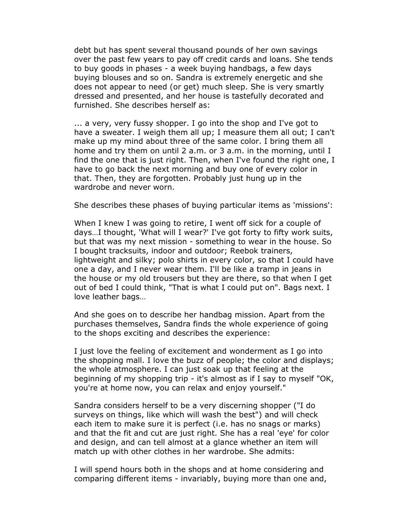debt but has spent several thousand pounds of her own savings over the past few years to pay off credit cards and loans. She tends to buy goods in phases - a week buying handbags, a few days buying blouses and so on. Sandra is extremely energetic and she does not appear to need (or get) much sleep. She is very smartly dressed and presented, and her house is tastefully decorated and furnished. She describes herself as:

... a very, very fussy shopper. I go into the shop and I've got to have a sweater. I weigh them all up; I measure them all out; I can't make up my mind about three of the same color. I bring them all home and try them on until 2 a.m. or 3 a.m. in the morning, until I find the one that is just right. Then, when I've found the right one, I have to go back the next morning and buy one of every color in that. Then, they are forgotten. Probably just hung up in the wardrobe and never worn.

She describes these phases of buying particular items as 'missions':

When I knew I was going to retire, I went off sick for a couple of days…I thought, 'What will I wear?' I've got forty to fifty work suits, but that was my next mission - something to wear in the house. So I bought tracksuits, indoor and outdoor; Reebok trainers, lightweight and silky; polo shirts in every color, so that I could have one a day, and I never wear them. I'll be like a tramp in jeans in the house or my old trousers but they are there, so that when I get out of bed I could think, "That is what I could put on". Bags next. I love leather bags…

And she goes on to describe her handbag mission. Apart from the purchases themselves, Sandra finds the whole experience of going to the shops exciting and describes the experience:

I just love the feeling of excitement and wonderment as I go into the shopping mall. I love the buzz of people; the color and displays; the whole atmosphere. I can just soak up that feeling at the beginning of my shopping trip - it's almost as if I say to myself "OK, you're at home now, you can relax and enjoy yourself."

Sandra considers herself to be a very discerning shopper ("I do surveys on things, like which will wash the best") and will check each item to make sure it is perfect (i.e. has no snags or marks) and that the fit and cut are just right. She has a real 'eye' for color and design, and can tell almost at a glance whether an item will match up with other clothes in her wardrobe. She admits:

I will spend hours both in the shops and at home considering and comparing different items - invariably, buying more than one and,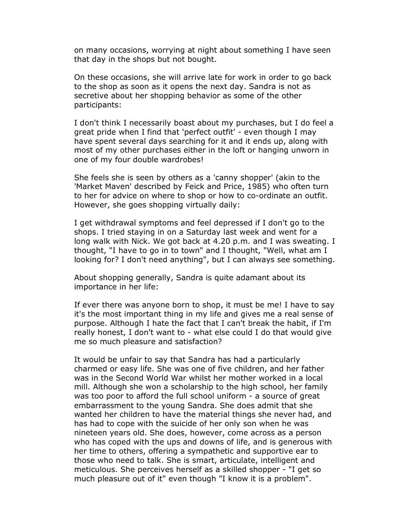on many occasions, worrying at night about something I have seen that day in the shops but not bought.

On these occasions, she will arrive late for work in order to go back to the shop as soon as it opens the next day. Sandra is not as secretive about her shopping behavior as some of the other participants:

I don't think I necessarily boast about my purchases, but I do feel a great pride when I find that 'perfect outfit' - even though I may have spent several days searching for it and it ends up, along with most of my other purchases either in the loft or hanging unworn in one of my four double wardrobes!

She feels she is seen by others as a 'canny shopper' (akin to the 'Market Maven' described by Feick and Price, 1985) who often turn to her for advice on where to shop or how to co-ordinate an outfit. However, she goes shopping virtually daily:

I get withdrawal symptoms and feel depressed if I don't go to the shops. I tried staying in on a Saturday last week and went for a long walk with Nick. We got back at 4.20 p.m. and I was sweating. I thought, "I have to go in to town" and I thought, "Well, what am I looking for? I don't need anything", but I can always see something.

About shopping generally, Sandra is quite adamant about its importance in her life:

If ever there was anyone born to shop, it must be me! I have to say it's the most important thing in my life and gives me a real sense of purpose. Although I hate the fact that I can't break the habit, if I'm really honest, I don't want to - what else could I do that would give me so much pleasure and satisfaction?

It would be unfair to say that Sandra has had a particularly charmed or easy life. She was one of five children, and her father was in the Second World War whilst her mother worked in a local mill. Although she won a scholarship to the high school, her family was too poor to afford the full school uniform - a source of great embarrassment to the young Sandra. She does admit that she wanted her children to have the material things she never had, and has had to cope with the suicide of her only son when he was nineteen years old. She does, however, come across as a person who has coped with the ups and downs of life, and is generous with her time to others, offering a sympathetic and supportive ear to those who need to talk. She is smart, articulate, intelligent and meticulous. She perceives herself as a skilled shopper - "I get so much pleasure out of it" even though "I know it is a problem".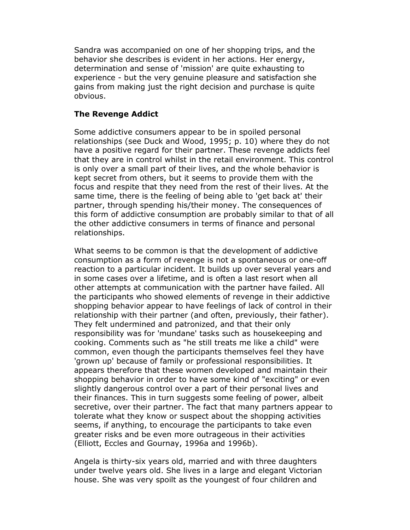Sandra was accompanied on one of her shopping trips, and the behavior she describes is evident in her actions. Her energy, determination and sense of 'mission' are quite exhausting to experience - but the very genuine pleasure and satisfaction she gains from making just the right decision and purchase is quite obvious.

### The Revenge Addict

Some addictive consumers appear to be in spoiled personal relationships (see Duck and Wood, 1995; p. 10) where they do not have a positive regard for their partner. These revenge addicts feel that they are in control whilst in the retail environment. This control is only over a small part of their lives, and the whole behavior is kept secret from others, but it seems to provide them with the focus and respite that they need from the rest of their lives. At the same time, there is the feeling of being able to 'get back at' their partner, through spending his/their money. The consequences of this form of addictive consumption are probably similar to that of all the other addictive consumers in terms of finance and personal relationships.

What seems to be common is that the development of addictive consumption as a form of revenge is not a spontaneous or one-off reaction to a particular incident. It builds up over several years and in some cases over a lifetime, and is often a last resort when all other attempts at communication with the partner have failed. All the participants who showed elements of revenge in their addictive shopping behavior appear to have feelings of lack of control in their relationship with their partner (and often, previously, their father). They felt undermined and patronized, and that their only responsibility was for 'mundane' tasks such as housekeeping and cooking. Comments such as "he still treats me like a child" were common, even though the participants themselves feel they have 'grown up' because of family or professional responsibilities. It appears therefore that these women developed and maintain their shopping behavior in order to have some kind of "exciting" or even slightly dangerous control over a part of their personal lives and their finances. This in turn suggests some feeling of power, albeit secretive, over their partner. The fact that many partners appear to tolerate what they know or suspect about the shopping activities seems, if anything, to encourage the participants to take even greater risks and be even more outrageous in their activities (Elliott, Eccles and Gournay, 1996a and 1996b).

Angela is thirty-six years old, married and with three daughters under twelve years old. She lives in a large and elegant Victorian house. She was very spoilt as the youngest of four children and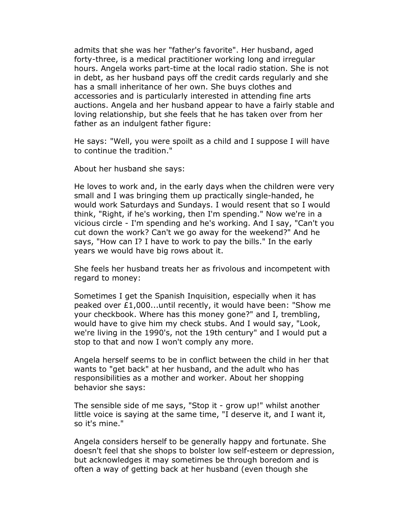admits that she was her "father's favorite". Her husband, aged forty-three, is a medical practitioner working long and irregular hours. Angela works part-time at the local radio station. She is not in debt, as her husband pays off the credit cards regularly and she has a small inheritance of her own. She buys clothes and accessories and is particularly interested in attending fine arts auctions. Angela and her husband appear to have a fairly stable and loving relationship, but she feels that he has taken over from her father as an indulgent father figure:

He says: "Well, you were spoilt as a child and I suppose I will have to continue the tradition."

About her husband she says:

He loves to work and, in the early days when the children were very small and I was bringing them up practically single-handed, he would work Saturdays and Sundays. I would resent that so I would think, "Right, if he's working, then I'm spending." Now we're in a vicious circle - I'm spending and he's working. And I say, "Can't you cut down the work? Can't we go away for the weekend?" And he says, "How can I? I have to work to pay the bills." In the early years we would have big rows about it.

She feels her husband treats her as frivolous and incompetent with regard to money:

Sometimes I get the Spanish Inquisition, especially when it has peaked over £1,000...until recently, it would have been: "Show me your checkbook. Where has this money gone?" and I, trembling, would have to give him my check stubs. And I would say, "Look, we're living in the 1990's, not the 19th century" and I would put a stop to that and now I won't comply any more.

Angela herself seems to be in conflict between the child in her that wants to "get back" at her husband, and the adult who has responsibilities as a mother and worker. About her shopping behavior she says:

The sensible side of me says, "Stop it - grow up!" whilst another little voice is saying at the same time, "I deserve it, and I want it, so it's mine."

Angela considers herself to be generally happy and fortunate. She doesn't feel that she shops to bolster low self-esteem or depression, but acknowledges it may sometimes be through boredom and is often a way of getting back at her husband (even though she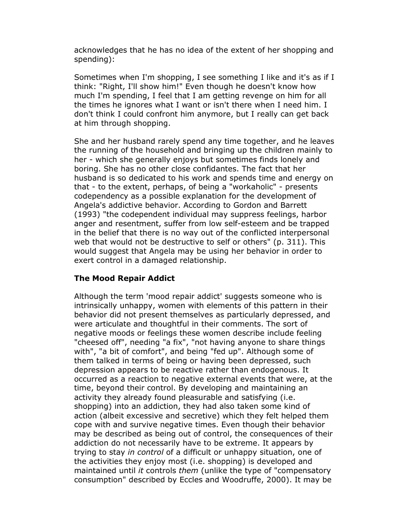acknowledges that he has no idea of the extent of her shopping and spending):

Sometimes when I'm shopping, I see something I like and it's as if I think: "Right, I'll show him!" Even though he doesn't know how much I'm spending, I feel that I am getting revenge on him for all the times he ignores what I want or isn't there when I need him. I don't think I could confront him anymore, but I really can get back at him through shopping.

She and her husband rarely spend any time together, and he leaves the running of the household and bringing up the children mainly to her - which she generally enjoys but sometimes finds lonely and boring. She has no other close confidantes. The fact that her husband is so dedicated to his work and spends time and energy on that - to the extent, perhaps, of being a "workaholic" - presents codependency as a possible explanation for the development of Angela's addictive behavior. According to Gordon and Barrett (1993) "the codependent individual may suppress feelings, harbor anger and resentment, suffer from low self-esteem and be trapped in the belief that there is no way out of the conflicted interpersonal web that would not be destructive to self or others" (p. 311). This would suggest that Angela may be using her behavior in order to exert control in a damaged relationship.

# The Mood Repair Addict

Although the term 'mood repair addict' suggests someone who is intrinsically unhappy, women with elements of this pattern in their behavior did not present themselves as particularly depressed, and were articulate and thoughtful in their comments. The sort of negative moods or feelings these women describe include feeling "cheesed off", needing "a fix", "not having anyone to share things with", "a bit of comfort", and being "fed up". Although some of them talked in terms of being or having been depressed, such depression appears to be reactive rather than endogenous. It occurred as a reaction to negative external events that were, at the time, beyond their control. By developing and maintaining an activity they already found pleasurable and satisfying (i.e. shopping) into an addiction, they had also taken some kind of action (albeit excessive and secretive) which they felt helped them cope with and survive negative times. Even though their behavior may be described as being out of control, the consequences of their addiction do not necessarily have to be extreme. It appears by trying to stay in control of a difficult or unhappy situation, one of the activities they enjoy most (i.e. shopping) is developed and maintained until *it* controls them (unlike the type of "compensatory consumption" described by Eccles and Woodruffe, 2000). It may be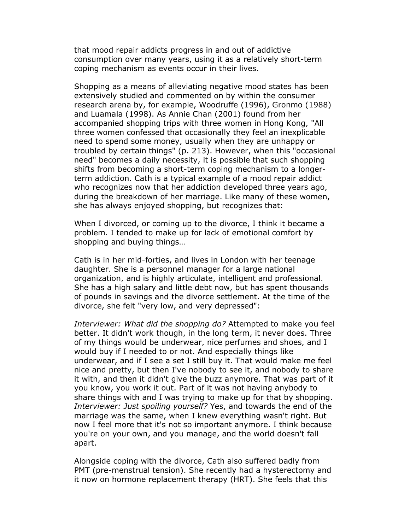that mood repair addicts progress in and out of addictive consumption over many years, using it as a relatively short-term coping mechanism as events occur in their lives.

Shopping as a means of alleviating negative mood states has been extensively studied and commented on by within the consumer research arena by, for example, Woodruffe (1996), Gronmo (1988) and Luamala (1998). As Annie Chan (2001) found from her accompanied shopping trips with three women in Hong Kong, "All three women confessed that occasionally they feel an inexplicable need to spend some money, usually when they are unhappy or troubled by certain things" (p. 213). However, when this "occasional need" becomes a daily necessity, it is possible that such shopping shifts from becoming a short-term coping mechanism to a longerterm addiction. Cath is a typical example of a mood repair addict who recognizes now that her addiction developed three years ago, during the breakdown of her marriage. Like many of these women, she has always enjoyed shopping, but recognizes that:

When I divorced, or coming up to the divorce, I think it became a problem. I tended to make up for lack of emotional comfort by shopping and buying things…

Cath is in her mid-forties, and lives in London with her teenage daughter. She is a personnel manager for a large national organization, and is highly articulate, intelligent and professional. She has a high salary and little debt now, but has spent thousands of pounds in savings and the divorce settlement. At the time of the divorce, she felt "very low, and very depressed":

Interviewer: What did the shopping do? Attempted to make you feel better. It didn't work though, in the long term, it never does. Three of my things would be underwear, nice perfumes and shoes, and I would buy if I needed to or not. And especially things like underwear, and if I see a set I still buy it. That would make me feel nice and pretty, but then I've nobody to see it, and nobody to share it with, and then it didn't give the buzz anymore. That was part of it you know, you work it out. Part of it was not having anybody to share things with and I was trying to make up for that by shopping. Interviewer: Just spoiling yourself? Yes, and towards the end of the marriage was the same, when I knew everything wasn't right. But now I feel more that it's not so important anymore. I think because you're on your own, and you manage, and the world doesn't fall apart.

Alongside coping with the divorce, Cath also suffered badly from PMT (pre-menstrual tension). She recently had a hysterectomy and it now on hormone replacement therapy (HRT). She feels that this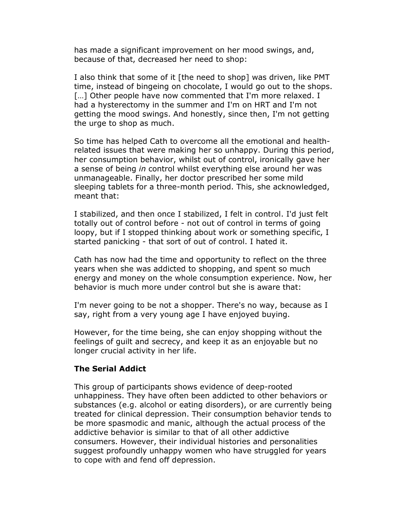has made a significant improvement on her mood swings, and, because of that, decreased her need to shop:

I also think that some of it [the need to shop] was driven, like PMT time, instead of bingeing on chocolate, I would go out to the shops. [...] Other people have now commented that I'm more relaxed. I had a hysterectomy in the summer and I'm on HRT and I'm not getting the mood swings. And honestly, since then, I'm not getting the urge to shop as much.

So time has helped Cath to overcome all the emotional and healthrelated issues that were making her so unhappy. During this period, her consumption behavior, whilst out of control, ironically gave her a sense of being in control whilst everything else around her was unmanageable. Finally, her doctor prescribed her some mild sleeping tablets for a three-month period. This, she acknowledged, meant that:

I stabilized, and then once I stabilized, I felt in control. I'd just felt totally out of control before - not out of control in terms of going loopy, but if I stopped thinking about work or something specific, I started panicking - that sort of out of control. I hated it.

Cath has now had the time and opportunity to reflect on the three years when she was addicted to shopping, and spent so much energy and money on the whole consumption experience. Now, her behavior is much more under control but she is aware that:

I'm never going to be not a shopper. There's no way, because as I say, right from a very young age I have enjoyed buying.

However, for the time being, she can enjoy shopping without the feelings of guilt and secrecy, and keep it as an enjoyable but no longer crucial activity in her life.

#### The Serial Addict

This group of participants shows evidence of deep-rooted unhappiness. They have often been addicted to other behaviors or substances (e.g. alcohol or eating disorders), or are currently being treated for clinical depression. Their consumption behavior tends to be more spasmodic and manic, although the actual process of the addictive behavior is similar to that of all other addictive consumers. However, their individual histories and personalities suggest profoundly unhappy women who have struggled for years to cope with and fend off depression.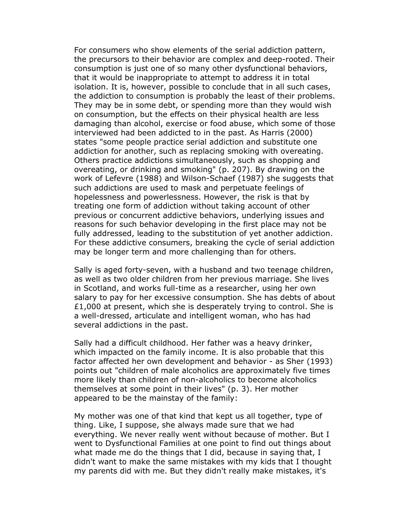For consumers who show elements of the serial addiction pattern, the precursors to their behavior are complex and deep-rooted. Their consumption is just one of so many other dysfunctional behaviors, that it would be inappropriate to attempt to address it in total isolation. It is, however, possible to conclude that in all such cases, the addiction to consumption is probably the least of their problems. They may be in some debt, or spending more than they would wish on consumption, but the effects on their physical health are less damaging than alcohol, exercise or food abuse, which some of those interviewed had been addicted to in the past. As Harris (2000) states "some people practice serial addiction and substitute one addiction for another, such as replacing smoking with overeating. Others practice addictions simultaneously, such as shopping and overeating, or drinking and smoking" (p. 207). By drawing on the work of Lefevre (1988) and Wilson-Schaef (1987) she suggests that such addictions are used to mask and perpetuate feelings of hopelessness and powerlessness. However, the risk is that by treating one form of addiction without taking account of other previous or concurrent addictive behaviors, underlying issues and reasons for such behavior developing in the first place may not be fully addressed, leading to the substitution of yet another addiction. For these addictive consumers, breaking the cycle of serial addiction may be longer term and more challenging than for others.

Sally is aged forty-seven, with a husband and two teenage children, as well as two older children from her previous marriage. She lives in Scotland, and works full-time as a researcher, using her own salary to pay for her excessive consumption. She has debts of about £1,000 at present, which she is desperately trying to control. She is a well-dressed, articulate and intelligent woman, who has had several addictions in the past.

Sally had a difficult childhood. Her father was a heavy drinker, which impacted on the family income. It is also probable that this factor affected her own development and behavior - as Sher (1993) points out "children of male alcoholics are approximately five times more likely than children of non-alcoholics to become alcoholics themselves at some point in their lives" (p. 3). Her mother appeared to be the mainstay of the family:

My mother was one of that kind that kept us all together, type of thing. Like, I suppose, she always made sure that we had everything. We never really went without because of mother. But I went to Dysfunctional Families at one point to find out things about what made me do the things that I did, because in saying that, I didn't want to make the same mistakes with my kids that I thought my parents did with me. But they didn't really make mistakes, it's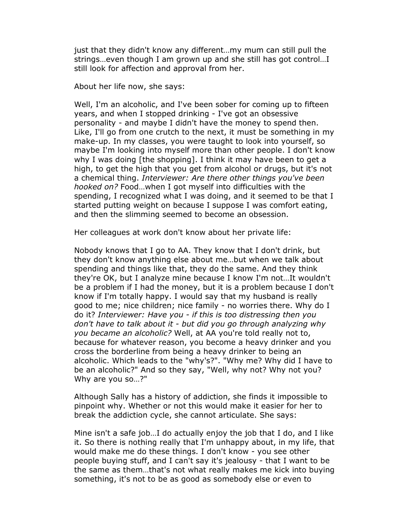just that they didn't know any different…my mum can still pull the strings…even though I am grown up and she still has got control…I still look for affection and approval from her.

About her life now, she says:

Well, I'm an alcoholic, and I've been sober for coming up to fifteen years, and when I stopped drinking - I've got an obsessive personality - and maybe I didn't have the money to spend then. Like, I'll go from one crutch to the next, it must be something in my make-up. In my classes, you were taught to look into yourself, so maybe I'm looking into myself more than other people. I don't know why I was doing [the shopping]. I think it may have been to get a high, to get the high that you get from alcohol or drugs, but it's not a chemical thing. Interviewer: Are there other things you've been hooked on? Food…when I got myself into difficulties with the spending, I recognized what I was doing, and it seemed to be that I started putting weight on because I suppose I was comfort eating, and then the slimming seemed to become an obsession.

Her colleagues at work don't know about her private life:

Nobody knows that I go to AA. They know that I don't drink, but they don't know anything else about me…but when we talk about spending and things like that, they do the same. And they think they're OK, but I analyze mine because I know I'm not…It wouldn't be a problem if I had the money, but it is a problem because I don't know if I'm totally happy. I would say that my husband is really good to me; nice children; nice family - no worries there. Why do I do it? Interviewer: Have you - if this is too distressing then you don't have to talk about it - but did you go through analyzing why you became an alcoholic? Well, at AA you're told really not to, because for whatever reason, you become a heavy drinker and you cross the borderline from being a heavy drinker to being an alcoholic. Which leads to the "why's?". "Why me? Why did I have to be an alcoholic?" And so they say, "Well, why not? Why not you? Why are you so…?"

Although Sally has a history of addiction, she finds it impossible to pinpoint why. Whether or not this would make it easier for her to break the addiction cycle, she cannot articulate. She says:

Mine isn't a safe job…I do actually enjoy the job that I do, and I like it. So there is nothing really that I'm unhappy about, in my life, that would make me do these things. I don't know - you see other people buying stuff, and I can't say it's jealousy - that I want to be the same as them…that's not what really makes me kick into buying something, it's not to be as good as somebody else or even to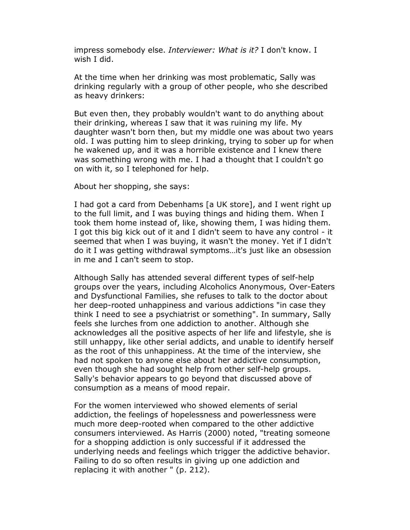impress somebody else. *Interviewer: What is it*? I don't know. I wish I did.

At the time when her drinking was most problematic, Sally was drinking regularly with a group of other people, who she described as heavy drinkers:

But even then, they probably wouldn't want to do anything about their drinking, whereas I saw that it was ruining my life. My daughter wasn't born then, but my middle one was about two years old. I was putting him to sleep drinking, trying to sober up for when he wakened up, and it was a horrible existence and I knew there was something wrong with me. I had a thought that I couldn't go on with it, so I telephoned for help.

About her shopping, she says:

I had got a card from Debenhams [a UK store], and I went right up to the full limit, and I was buying things and hiding them. When I took them home instead of, like, showing them, I was hiding them. I got this big kick out of it and I didn't seem to have any control - it seemed that when I was buying, it wasn't the money. Yet if I didn't do it I was getting withdrawal symptoms…it's just like an obsession in me and I can't seem to stop.

Although Sally has attended several different types of self-help groups over the years, including Alcoholics Anonymous, Over-Eaters and Dysfunctional Families, she refuses to talk to the doctor about her deep-rooted unhappiness and various addictions "in case they think I need to see a psychiatrist or something". In summary, Sally feels she lurches from one addiction to another. Although she acknowledges all the positive aspects of her life and lifestyle, she is still unhappy, like other serial addicts, and unable to identify herself as the root of this unhappiness. At the time of the interview, she had not spoken to anyone else about her addictive consumption, even though she had sought help from other self-help groups. Sally's behavior appears to go beyond that discussed above of consumption as a means of mood repair.

For the women interviewed who showed elements of serial addiction, the feelings of hopelessness and powerlessness were much more deep-rooted when compared to the other addictive consumers interviewed. As Harris (2000) noted, "treating someone for a shopping addiction is only successful if it addressed the underlying needs and feelings which trigger the addictive behavior. Failing to do so often results in giving up one addiction and replacing it with another " (p. 212).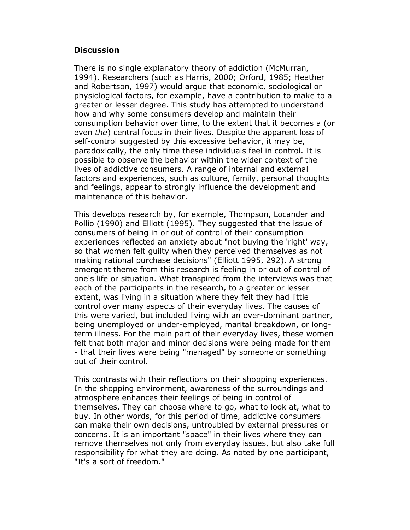### **Discussion**

There is no single explanatory theory of addiction (McMurran, 1994). Researchers (such as Harris, 2000; Orford, 1985; Heather and Robertson, 1997) would argue that economic, sociological or physiological factors, for example, have a contribution to make to a greater or lesser degree. This study has attempted to understand how and why some consumers develop and maintain their consumption behavior over time, to the extent that it becomes a (or even the) central focus in their lives. Despite the apparent loss of self-control suggested by this excessive behavior, it may be, paradoxically, the only time these individuals feel in control. It is possible to observe the behavior within the wider context of the lives of addictive consumers. A range of internal and external factors and experiences, such as culture, family, personal thoughts and feelings, appear to strongly influence the development and maintenance of this behavior.

This develops research by, for example, Thompson, Locander and Pollio (1990) and Elliott (1995). They suggested that the issue of consumers of being in or out of control of their consumption experiences reflected an anxiety about "not buying the 'right' way, so that women felt guilty when they perceived themselves as not making rational purchase decisions" (Elliott 1995, 292). A strong emergent theme from this research is feeling in or out of control of one's life or situation. What transpired from the interviews was that each of the participants in the research, to a greater or lesser extent, was living in a situation where they felt they had little control over many aspects of their everyday lives. The causes of this were varied, but included living with an over-dominant partner, being unemployed or under-employed, marital breakdown, or longterm illness. For the main part of their everyday lives, these women felt that both major and minor decisions were being made for them - that their lives were being "managed" by someone or something out of their control.

This contrasts with their reflections on their shopping experiences. In the shopping environment, awareness of the surroundings and atmosphere enhances their feelings of being in control of themselves. They can choose where to go, what to look at, what to buy. In other words, for this period of time, addictive consumers can make their own decisions, untroubled by external pressures or concerns. It is an important "space" in their lives where they can remove themselves not only from everyday issues, but also take full responsibility for what they are doing. As noted by one participant, "It's a sort of freedom."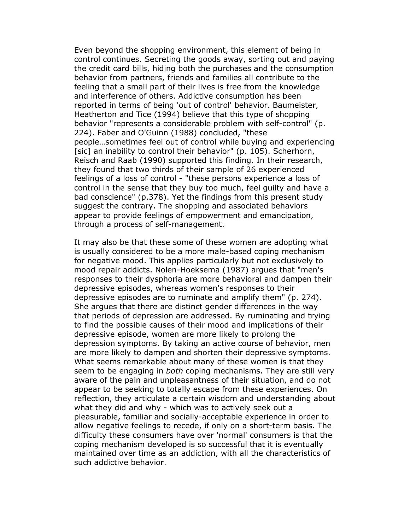Even beyond the shopping environment, this element of being in control continues. Secreting the goods away, sorting out and paying the credit card bills, hiding both the purchases and the consumption behavior from partners, friends and families all contribute to the feeling that a small part of their lives is free from the knowledge and interference of others. Addictive consumption has been reported in terms of being 'out of control' behavior. Baumeister, Heatherton and Tice (1994) believe that this type of shopping behavior "represents a considerable problem with self-control" (p. 224). Faber and O'Guinn (1988) concluded, "these people…sometimes feel out of control while buying and experiencing [sic] an inability to control their behavior" (p. 105). Scherhorn, Reisch and Raab (1990) supported this finding. In their research, they found that two thirds of their sample of 26 experienced feelings of a loss of control - "these persons experience a loss of control in the sense that they buy too much, feel guilty and have a bad conscience" (p.378). Yet the findings from this present study suggest the contrary. The shopping and associated behaviors appear to provide feelings of empowerment and emancipation, through a process of self-management.

It may also be that these some of these women are adopting what is usually considered to be a more male-based coping mechanism for negative mood. This applies particularly but not exclusively to mood repair addicts. Nolen-Hoeksema (1987) argues that "men's responses to their dysphoria are more behavioral and dampen their depressive episodes, whereas women's responses to their depressive episodes are to ruminate and amplify them" (p. 274). She argues that there are distinct gender differences in the way that periods of depression are addressed. By ruminating and trying to find the possible causes of their mood and implications of their depressive episode, women are more likely to prolong the depression symptoms. By taking an active course of behavior, men are more likely to dampen and shorten their depressive symptoms. What seems remarkable about many of these women is that they seem to be engaging in *both* coping mechanisms. They are still very aware of the pain and unpleasantness of their situation, and do not appear to be seeking to totally escape from these experiences. On reflection, they articulate a certain wisdom and understanding about what they did and why - which was to actively seek out a pleasurable, familiar and socially-acceptable experience in order to allow negative feelings to recede, if only on a short-term basis. The difficulty these consumers have over 'normal' consumers is that the coping mechanism developed is so successful that it is eventually maintained over time as an addiction, with all the characteristics of such addictive behavior.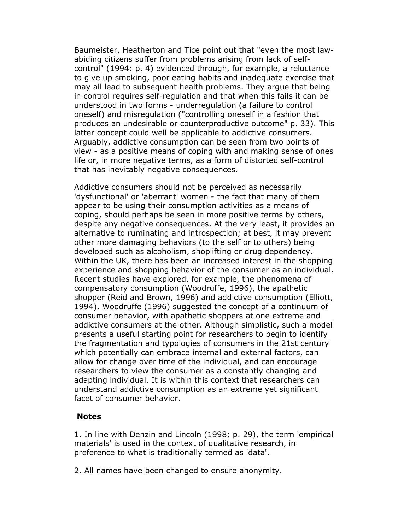Baumeister, Heatherton and Tice point out that "even the most lawabiding citizens suffer from problems arising from lack of selfcontrol" (1994: p. 4) evidenced through, for example, a reluctance to give up smoking, poor eating habits and inadequate exercise that may all lead to subsequent health problems. They argue that being in control requires self-regulation and that when this fails it can be understood in two forms - underregulation (a failure to control oneself) and misregulation ("controlling oneself in a fashion that produces an undesirable or counterproductive outcome" p. 33). This latter concept could well be applicable to addictive consumers. Arguably, addictive consumption can be seen from two points of view - as a positive means of coping with and making sense of ones life or, in more negative terms, as a form of distorted self-control that has inevitably negative consequences.

Addictive consumers should not be perceived as necessarily 'dysfunctional' or 'aberrant' women - the fact that many of them appear to be using their consumption activities as a means of coping, should perhaps be seen in more positive terms by others, despite any negative consequences. At the very least, it provides an alternative to ruminating and introspection; at best, it may prevent other more damaging behaviors (to the self or to others) being developed such as alcoholism, shoplifting or drug dependency. Within the UK, there has been an increased interest in the shopping experience and shopping behavior of the consumer as an individual. Recent studies have explored, for example, the phenomena of compensatory consumption (Woodruffe, 1996), the apathetic shopper (Reid and Brown, 1996) and addictive consumption (Elliott, 1994). Woodruffe (1996) suggested the concept of a continuum of consumer behavior, with apathetic shoppers at one extreme and addictive consumers at the other. Although simplistic, such a model presents a useful starting point for researchers to begin to identify the fragmentation and typologies of consumers in the 21st century which potentially can embrace internal and external factors, can allow for change over time of the individual, and can encourage researchers to view the consumer as a constantly changing and adapting individual. It is within this context that researchers can understand addictive consumption as an extreme yet significant facet of consumer behavior.

#### **Notes**

1. In line with Denzin and Lincoln (1998; p. 29), the term 'empirical materials' is used in the context of qualitative research, in preference to what is traditionally termed as 'data'.

2. All names have been changed to ensure anonymity.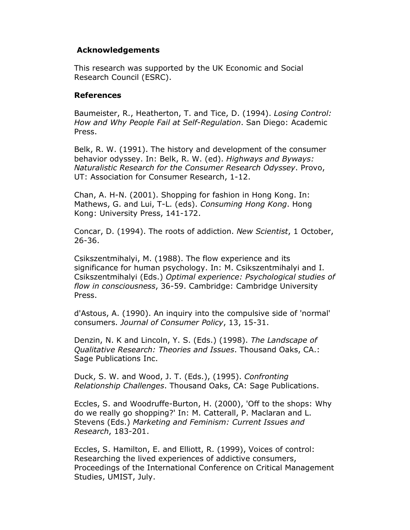# Acknowledgements

This research was supported by the UK Economic and Social Research Council (ESRC).

### References

Baumeister, R., Heatherton, T. and Tice, D. (1994). Losing Control: How and Why People Fail at Self-Regulation. San Diego: Academic Press.

Belk, R. W. (1991). The history and development of the consumer behavior odyssey. In: Belk, R. W. (ed). Highways and Byways: Naturalistic Research for the Consumer Research Odyssey. Provo, UT: Association for Consumer Research, 1-12.

Chan, A. H-N. (2001). Shopping for fashion in Hong Kong. In: Mathews, G. and Lui, T-L. (eds). Consuming Hong Kong. Hong Kong: University Press, 141-172.

Concar, D. (1994). The roots of addiction. New Scientist, 1 October, 26-36.

Csikszentmihalyi, M. (1988). The flow experience and its significance for human psychology. In: M. Csikszentmihalyi and I. Csikszentmihalyi (Eds.) Optimal experience: Psychological studies of flow in consciousness, 36-59. Cambridge: Cambridge University Press.

d'Astous, A. (1990). An inquiry into the compulsive side of 'normal' consumers. Journal of Consumer Policy, 13, 15-31.

Denzin, N. K and Lincoln, Y. S. (Eds.) (1998). The Landscape of Qualitative Research: Theories and Issues. Thousand Oaks, CA.: Sage Publications Inc.

Duck, S. W. and Wood, J. T. (Eds.), (1995). Confronting Relationship Challenges. Thousand Oaks, CA: Sage Publications.

Eccles, S. and Woodruffe-Burton, H. (2000), 'Off to the shops: Why do we really go shopping?' In: M. Catterall, P. Maclaran and L. Stevens (Eds.) Marketing and Feminism: Current Issues and Research, 183-201.

Eccles, S. Hamilton, E. and Elliott, R. (1999), Voices of control: Researching the lived experiences of addictive consumers, Proceedings of the International Conference on Critical Management Studies, UMIST, July.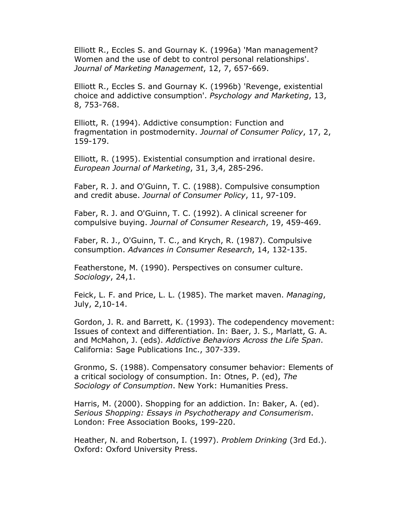Elliott R., Eccles S. and Gournay K. (1996a) 'Man management? Women and the use of debt to control personal relationships'. Journal of Marketing Management, 12, 7, 657-669.

Elliott R., Eccles S. and Gournay K. (1996b) 'Revenge, existential choice and addictive consumption'. Psychology and Marketing, 13, 8, 753-768.

Elliott, R. (1994). Addictive consumption: Function and fragmentation in postmodernity. Journal of Consumer Policy, 17, 2, 159-179.

Elliott, R. (1995). Existential consumption and irrational desire. European Journal of Marketing, 31, 3,4, 285-296.

Faber, R. J. and O'Guinn, T. C. (1988). Compulsive consumption and credit abuse. Journal of Consumer Policy, 11, 97-109.

Faber, R. J. and O'Guinn, T. C. (1992). A clinical screener for compulsive buying. Journal of Consumer Research, 19, 459-469.

Faber, R. J., O'Guinn, T. C., and Krych, R. (1987). Compulsive consumption. Advances in Consumer Research, 14, 132-135.

Featherstone, M. (1990). Perspectives on consumer culture. Sociology, 24,1.

Feick, L. F. and Price, L. L. (1985). The market maven. Managing, July, 2,10-14.

Gordon, J. R. and Barrett, K. (1993). The codependency movement: Issues of context and differentiation. In: Baer, J. S., Marlatt, G. A. and McMahon, J. (eds). Addictive Behaviors Across the Life Span. California: Sage Publications Inc., 307-339.

Gronmo, S. (1988). Compensatory consumer behavior: Elements of a critical sociology of consumption. In: Otnes, P. (ed), The Sociology of Consumption. New York: Humanities Press.

Harris, M. (2000). Shopping for an addiction. In: Baker, A. (ed). Serious Shopping: Essays in Psychotherapy and Consumerism. London: Free Association Books, 199-220.

Heather, N. and Robertson, I. (1997). Problem Drinking (3rd Ed.). Oxford: Oxford University Press.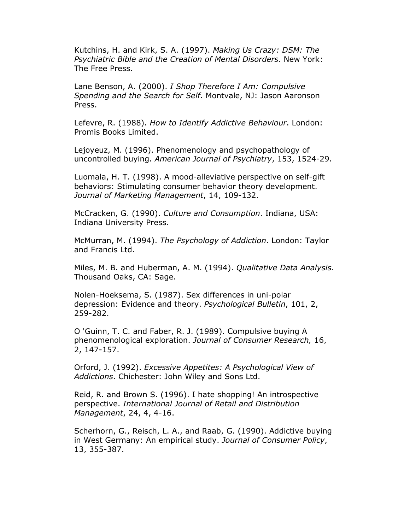Kutchins, H. and Kirk, S. A. (1997). Making Us Crazy: DSM: The Psychiatric Bible and the Creation of Mental Disorders. New York: The Free Press.

Lane Benson, A. (2000). I Shop Therefore I Am: Compulsive Spending and the Search for Self. Montvale, NJ: Jason Aaronson Press.

Lefevre, R. (1988). How to Identify Addictive Behaviour. London: Promis Books Limited.

Lejoyeuz, M. (1996). Phenomenology and psychopathology of uncontrolled buying. American Journal of Psychiatry, 153, 1524-29.

Luomala, H. T. (1998). A mood-alleviative perspective on self-gift behaviors: Stimulating consumer behavior theory development. Journal of Marketing Management, 14, 109-132.

McCracken, G. (1990). Culture and Consumption. Indiana, USA: Indiana University Press.

McMurran, M. (1994). The Psychology of Addiction. London: Taylor and Francis Ltd.

Miles, M. B. and Huberman, A. M. (1994). Qualitative Data Analysis. Thousand Oaks, CA: Sage.

Nolen-Hoeksema, S. (1987). Sex differences in uni-polar depression: Evidence and theory. Psychological Bulletin, 101, 2, 259-282.

O 'Guinn, T. C. and Faber, R. J. (1989). Compulsive buying A phenomenological exploration. Journal of Consumer Research, 16, 2, 147-157.

Orford, J. (1992). Excessive Appetites: A Psychological View of Addictions. Chichester: John Wiley and Sons Ltd.

Reid, R. and Brown S. (1996). I hate shopping! An introspective perspective. International Journal of Retail and Distribution Management, 24, 4, 4-16.

Scherhorn, G., Reisch, L. A., and Raab, G. (1990). Addictive buying in West Germany: An empirical study. Journal of Consumer Policy, 13, 355-387.